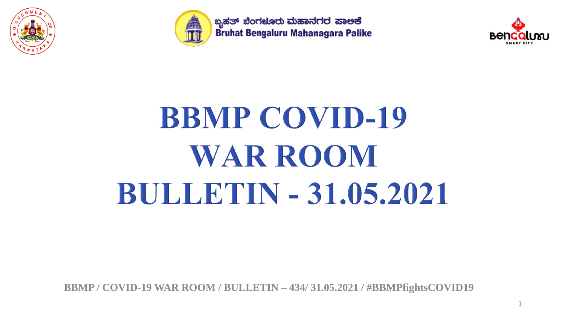



ಬೃಹತ್ ಬೆಂಗಳೂರು ಮಹಾನಗರ ಪಾಅಕೆ Bruhat Bengaluru Mahanagara Palike



# **BBMP COVID-19 WAR ROOM BULLETIN - 31.05.2021**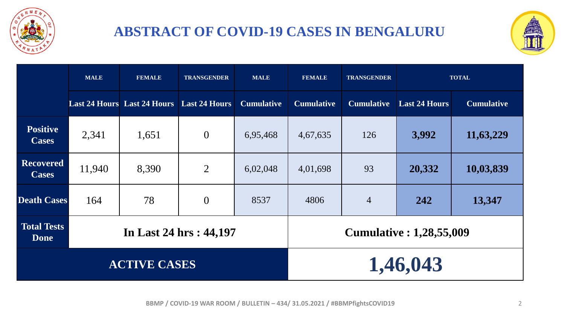

#### **ABSTRACT OF COVID-19 CASES IN BENGALURU**



|                                   | <b>MALE</b> | <b>FEMALE</b>                                    | <b>TRANSGENDER</b> | <b>MALE</b>                     | <b>FEMALE</b><br><b>TRANSGENDER</b> |                   | <b>TOTAL</b>         |                   |  |
|-----------------------------------|-------------|--------------------------------------------------|--------------------|---------------------------------|-------------------------------------|-------------------|----------------------|-------------------|--|
|                                   |             | <b>Last 24 Hours</b> Last 24 Hours Last 24 Hours |                    | <b>Cumulative</b>               | <b>Cumulative</b>                   | <b>Cumulative</b> | <b>Last 24 Hours</b> | <b>Cumulative</b> |  |
| <b>Positive</b><br><b>Cases</b>   | 2,341       | 1,651                                            | $\overline{0}$     | 6,95,468                        | 4,67,635                            | 126               | 3,992                | 11,63,229         |  |
| <b>Recovered</b><br><b>Cases</b>  | 11,940      | 8,390                                            | $\overline{2}$     | 6,02,048                        | 4,01,698                            | 93                | 20,332               | 10,03,839         |  |
| <b>Death Cases</b>                | 164         | 78                                               | $\overline{0}$     | 8537                            | 4806                                | $\overline{4}$    | 242                  | 13,347            |  |
| <b>Total Tests</b><br><b>Done</b> |             | In Last 24 hrs: 44,197                           |                    | <b>Cumulative : 1,28,55,009</b> |                                     |                   |                      |                   |  |
|                                   |             | <b>ACTIVE CASES</b>                              |                    | 1,46,043                        |                                     |                   |                      |                   |  |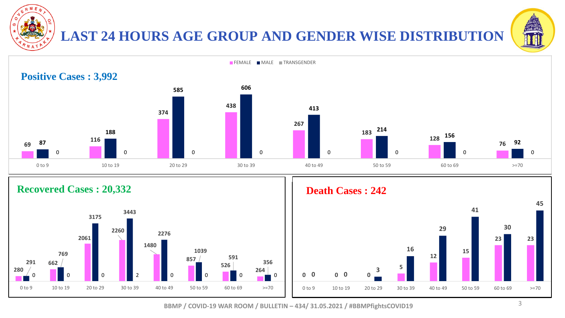

#### **LAST 24 HOURS AGE GROUP AND GENDER WISE DISTRIBUTION**





#### **Recovered Cases : 20,332**



#### **Death Cases : 242**

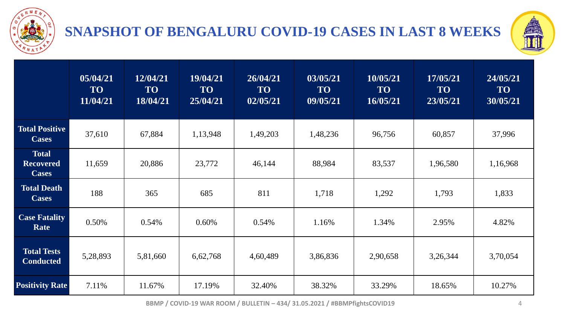

#### **SNAPSHOT OF BENGALURU COVID-19 CASES IN LAST 8 WEEKS**



|                                                  | 05/04/21<br><b>TO</b><br>11/04/21 | 12/04/21<br><b>TO</b><br>18/04/21 | 19/04/21<br><b>TO</b><br>25/04/21 | 26/04/21<br><b>TO</b><br>02/05/21 | 03/05/21<br><b>TO</b><br>09/05/21 | 10/05/21<br><b>TO</b><br>16/05/21 | 17/05/21<br><b>TO</b><br>23/05/21 | 24/05/21<br><b>TO</b><br>30/05/21 |  |
|--------------------------------------------------|-----------------------------------|-----------------------------------|-----------------------------------|-----------------------------------|-----------------------------------|-----------------------------------|-----------------------------------|-----------------------------------|--|
| <b>Total Positive</b><br><b>Cases</b>            | 37,610                            | 67,884                            | 1,13,948                          | 1,49,203                          | 1,48,236                          | 96,756                            | 60,857                            | 37,996                            |  |
| <b>Total</b><br><b>Recovered</b><br><b>Cases</b> | 11,659                            | 20,886                            | 23,772                            | 46,144                            | 88,984                            | 83,537                            | 1,96,580                          | 1,16,968                          |  |
| <b>Total Death</b><br><b>Cases</b>               | 188                               | 365                               | 685                               | 811                               | 1,718                             | 1,292                             |                                   | 1,833                             |  |
| <b>Case Fatality</b><br>Rate                     | 0.50%                             | 0.54%                             | 0.60%                             | 0.54%                             | 1.16%                             | 1.34%                             |                                   | 4.82%                             |  |
| <b>Total Tests</b><br><b>Conducted</b>           | 5,28,893                          | 5,81,660                          | 6,62,768                          | 4,60,489                          | 3,86,836<br>2,90,658              |                                   | 3,26,344                          | 3,70,054                          |  |
| <b>Positivity Rate</b>                           | 7.11%                             | 11.67%                            | 17.19%                            | 32.40%                            | 38.32%                            | 33.29%                            | 18.65%                            | 10.27%                            |  |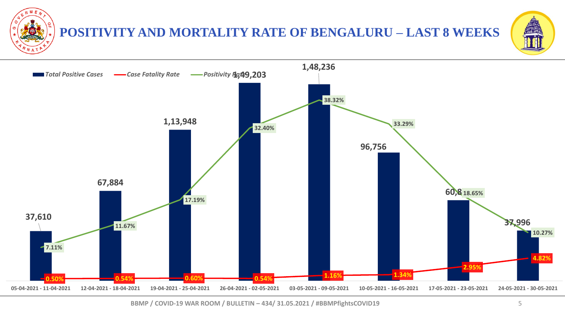**POSITIVITY AND MORTALITY RATE OF BENGALURU – LAST 8 WEEKS**



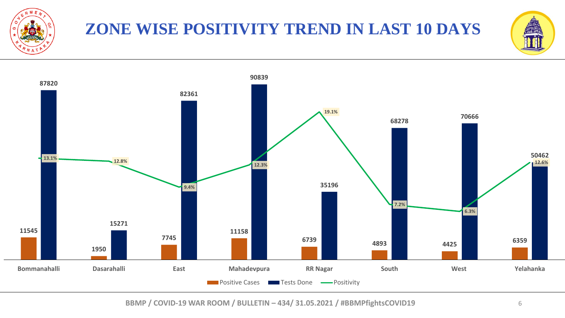

## **ZONE WISE POSITIVITY TREND IN LAST 10 DAYS**



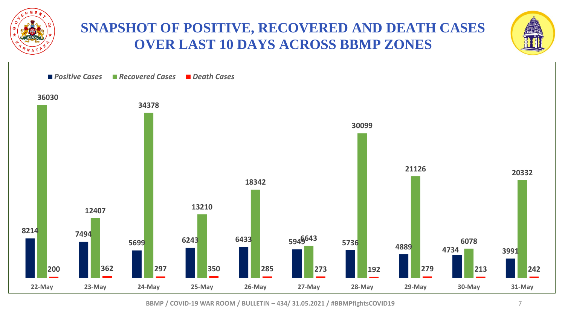

#### **SNAPSHOT OF POSITIVE, RECOVERED AND DEATH CASES OVER LAST 10 DAYS ACROSS BBMP ZONES**



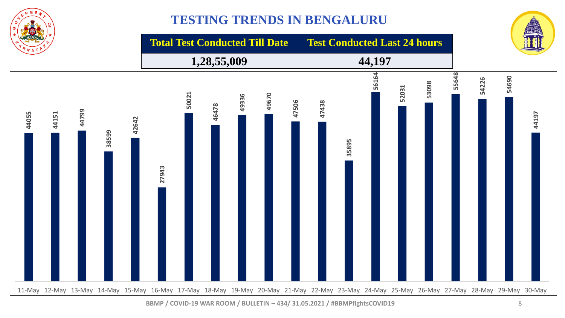

#### **TESTING TRENDS IN BENGALURU**



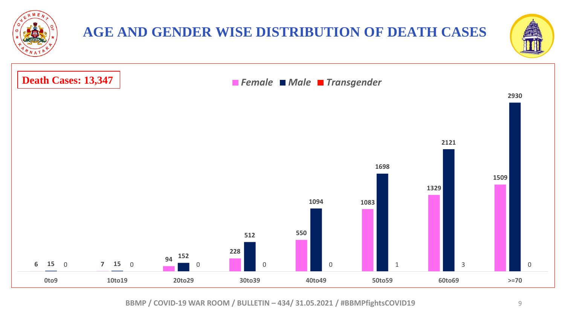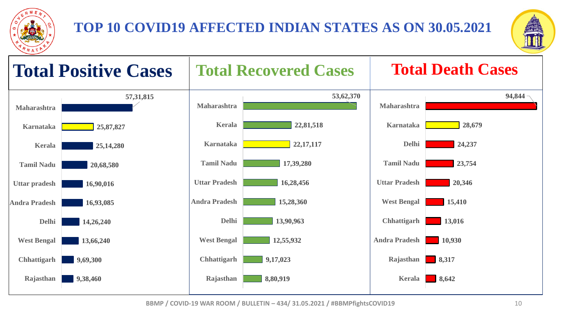

### **TOP 10 COVID19 AFFECTED INDIAN STATES AS ON 30.05.2021**



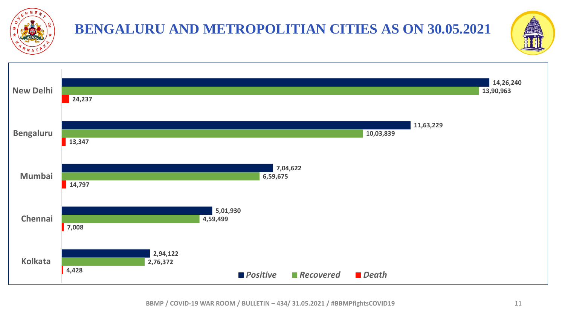

# **BENGALURU AND METROPOLITIAN CITIES AS ON 30.05.2021**



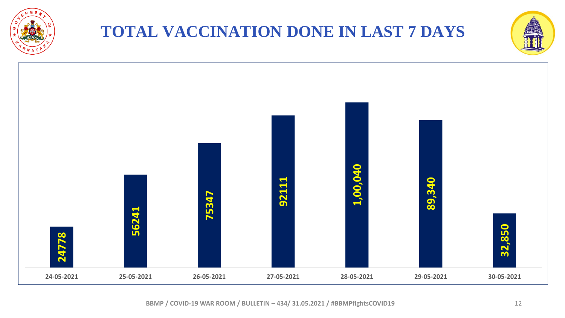

## **TOTAL VACCINATION DONE IN LAST 7 DAYS**



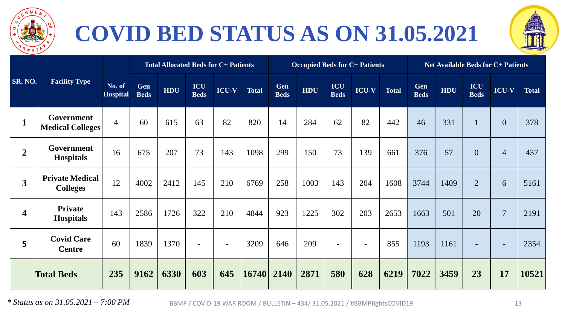

# **COVID BED STATUS AS ON 31.05.2021**



|                         |                                              |                           | <b>Total Allocated Beds for C+ Patients</b> |      |                          |              |              | <b>Occupied Beds for C+ Patients</b> |            |                    |              |              | <b>Net Available Beds for C+ Patients</b> |      |                    |                |              |
|-------------------------|----------------------------------------------|---------------------------|---------------------------------------------|------|--------------------------|--------------|--------------|--------------------------------------|------------|--------------------|--------------|--------------|-------------------------------------------|------|--------------------|----------------|--------------|
| <b>SR. NO.</b>          | <b>Facility Type</b>                         | No. of<br><b>Hospital</b> | Gen<br><b>Beds</b>                          | HDU  | ICU<br><b>Beds</b>       | <b>ICU-V</b> | <b>Total</b> | Gen<br><b>Beds</b>                   | <b>HDU</b> | ICU<br><b>Beds</b> | <b>ICU-V</b> | <b>Total</b> | Gen<br><b>Beds</b>                        | HDU  | ICU<br><b>Beds</b> | <b>ICU-V</b>   | <b>Total</b> |
| $\mathbf{1}$            | <b>Government</b><br><b>Medical Colleges</b> | $\overline{4}$            | 60                                          | 615  | 63                       | 82           | 820          | 14                                   | 284        | 62                 | 82           | 442          | 46                                        | 331  |                    | $\theta$       | 378          |
| $\overline{2}$          | Government<br><b>Hospitals</b>               | 16                        | 675                                         | 207  | 73                       | 143          | 1098         | 299                                  | 150        | 73                 | 139          | 661          | 376                                       | 57   | $\overline{0}$     | $\overline{4}$ | 437          |
| $\overline{\mathbf{3}}$ | <b>Private Medical</b><br><b>Colleges</b>    | 12                        | 4002                                        | 2412 | 145                      | 210          | 6769         | 258                                  | 1003       | 143                | 204          | 1608         | 3744                                      | 1409 | $\overline{2}$     | 6              | 5161         |
| $\overline{\mathbf{4}}$ | <b>Private</b><br><b>Hospitals</b>           | 143                       | 2586                                        | 1726 | 322                      | 210          | 4844         | 923                                  | 1225       | 302                | 203          | 2653         | 1663                                      | 501  | 20                 | $\overline{7}$ | 2191         |
| $5\phantom{a}$          | <b>Covid Care</b><br><b>Centre</b>           | 60                        | 1839                                        | 1370 | $\overline{\phantom{a}}$ | $\sim$       | 3209         | 646                                  | 209        |                    |              | 855          | 1193                                      | 1161 |                    |                | 2354         |
| <b>Total Beds</b>       |                                              | 235                       | 9162                                        | 6330 | 603                      | 645          | 16740        | 2140                                 | 2871       | 580                | 628          | 6219         | 7022                                      | 3459 | 23                 | 17             | 10521        |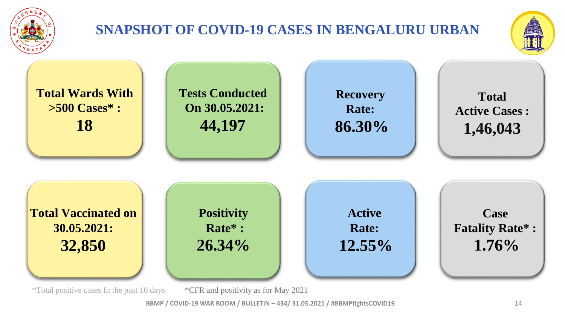

## **SNAPSHOT OF COVID-19 CASES IN BENGALURU URBAN**